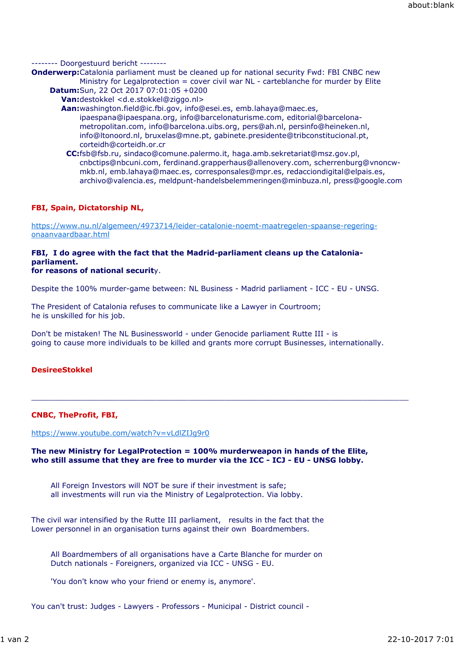## -------- Doorgestuurd bericht --------

- **Onderwerp:**Catalonia parliament must be cleaned up for national security Fwd: FBI CNBC new Ministry for Legalprotection = cover civil war NL - carteblanche for murder by Elite
	- **Datum:**Sun, 22 Oct 2017 07:01:05 +0200
		- **Van:**destokkel <d.e.stokkel@ziggo.nl>
		- **Aan:**washington.field@ic.fbi.gov, info@esei.es, emb.lahaya@maec.es, ipaespana@ipaespana.org, info@barcelonaturisme.com, editorial@barcelonametropolitan.com, info@barcelona.uibs.org, pers@ah.nl, persinfo@heineken.nl, info@ltonoord.nl, bruxelas@mne.pt, gabinete.presidente@tribconstitucional.pt, corteidh@corteidh.or.cr
			- **CC:**fsb@fsb.ru, sindaco@comune.palermo.it, haga.amb.sekretariat@msz.gov.pl, cnbctips@nbcuni.com, ferdinand.grapperhaus@allenovery.com, scherrenburg@vnoncwmkb.nl, emb.lahaya@maec.es, corresponsales@mpr.es, redacciondigital@elpais.es, archivo@valencia.es, meldpunt-handelsbelemmeringen@minbuza.nl, press@google.com

## **FBI, Spain, Dictatorship NL,**

https://www.nu.nl/algemeen/4973714/leider-catalonie-noemt-maatregelen-spaanse-regeringonaanvaardbaar.html

## **FBI, I do agree with the fact that the Madrid-parliament cleans up the Cataloniaparliament.**

## **for reasons of national securit**y.

Despite the 100% murder-game between: NL Business - Madrid parliament - ICC - EU - UNSG.

The President of Catalonia refuses to communicate like a Lawyer in Courtroom; he is unskilled for his job.

Don't be mistaken! The NL Businessworld - under Genocide parliament Rutte III - is going to cause more individuals to be killed and grants more corrupt Businesses, internationally.

 $\_$  ,  $\_$  ,  $\_$  ,  $\_$  ,  $\_$  ,  $\_$  ,  $\_$  ,  $\_$  ,  $\_$  ,  $\_$  ,  $\_$  ,  $\_$  ,  $\_$  ,  $\_$  ,  $\_$  ,  $\_$  ,  $\_$  ,  $\_$  ,  $\_$  ,  $\_$  ,  $\_$  ,  $\_$  ,  $\_$  ,  $\_$  ,  $\_$  ,  $\_$  ,  $\_$  ,  $\_$  ,  $\_$  ,  $\_$  ,  $\_$  ,  $\_$  ,  $\_$  ,  $\_$  ,  $\_$  ,  $\_$  ,  $\_$  ,

# **DesireeStokkel**

# **CNBC, TheProfit, FBI,**

## https://www.youtube.com/watch?v=vLdlZIJg9r0

### **The new Ministry for LegalProtection = 100% murderweapon in hands of the Elite, who still assume that they are free to murder via the ICC - ICJ - EU - UNSG lobby.**

All Foreign Investors will NOT be sure if their investment is safe; all investments will run via the Ministry of Legalprotection. Via lobby.

The civil war intensified by the Rutte III parliament, results in the fact that the Lower personnel in an organisation turns against their own Boardmembers.

All Boardmembers of all organisations have a Carte Blanche for murder on Dutch nationals - Foreigners, organized via ICC - UNSG - EU.

'You don't know who your friend or enemy is, anymore'.

You can't trust: Judges - Lawyers - Professors - Municipal - District council -